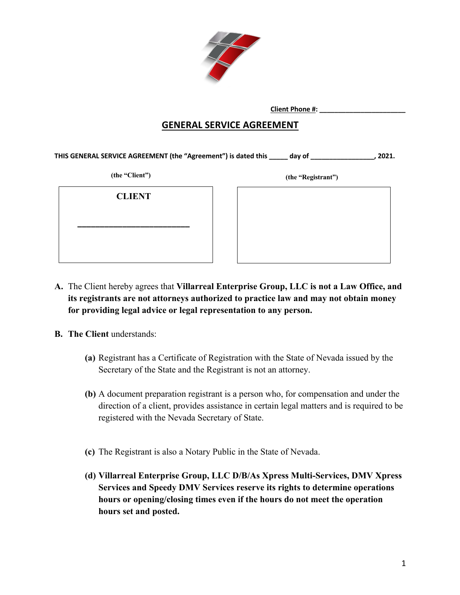

 **Client Phone #: \_\_\_\_\_\_\_\_\_\_\_\_\_\_\_\_\_\_\_\_\_\_\_**

### **GENERAL SERVICE AGREEMENT**

**THIS GENERAL SERVICE AGREEMENT (the "Agreement") is dated this \_\_\_\_\_ day of \_\_\_\_\_\_\_\_\_\_\_\_\_\_\_\_\_, 2021.**

**(the "Client") (the "Registrant")**

**CLIENT**

**\_\_\_\_\_\_\_\_\_\_\_\_\_\_\_\_\_\_\_\_\_\_\_\_\_**

- **A.** The Client hereby agrees that **Villarreal Enterprise Group, LLC is not a Law Office, and its registrants are not attorneys authorized to practice law and may not obtain money for providing legal advice or legal representation to any person.**
- **B. The Client** understands:
	- **(a)** Registrant has a Certificate of Registration with the State of Nevada issued by the Secretary of the State and the Registrant is not an attorney.
	- **(b)** A document preparation registrant is a person who, for compensation and under the direction of a client, provides assistance in certain legal matters and is required to be registered with the Nevada Secretary of State.
	- **(c)** The Registrant is also a Notary Public in the State of Nevada.
	- **(d) Villarreal Enterprise Group, LLC D/B/As Xpress Multi-Services, DMV Xpress Services and Speedy DMV Services reserve its rights to determine operations hours or opening/closing times even if the hours do not meet the operation hours set and posted.**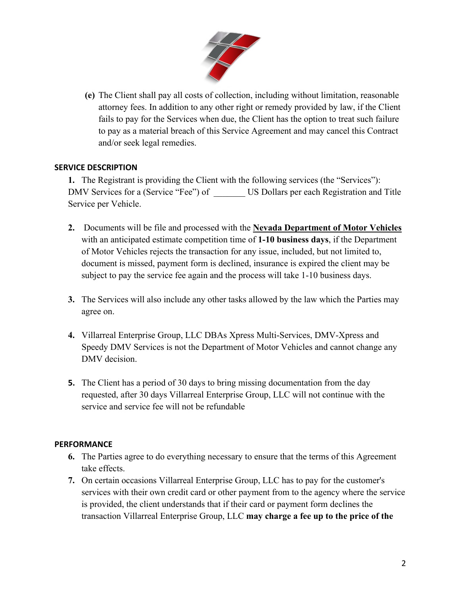

**(e)** The Client shall pay all costs of collection, including without limitation, reasonable attorney fees. In addition to any other right or remedy provided by law, if the Client fails to pay for the Services when due, the Client has the option to treat such failure to pay as a material breach of this Service Agreement and may cancel this Contract and/or seek legal remedies.

#### **SERVICE DESCRIPTION**

**1.** The Registrant is providing the Client with the following services (the "Services"): DMV Services for a (Service "Fee") of \_\_\_\_\_\_\_ US Dollars per each Registration and Title Service per Vehicle.

- **2.** Documents will be file and processed with the **Nevada Department of Motor Vehicles** with an anticipated estimate competition time of **1-10 business days**, if the Department of Motor Vehicles rejects the transaction for any issue, included, but not limited to, document is missed, payment form is declined, insurance is expired the client may be subject to pay the service fee again and the process will take 1-10 business days.
- **3.** The Services will also include any other tasks allowed by the law which the Parties may agree on.
- **4.** Villarreal Enterprise Group, LLC DBAs Xpress Multi-Services, DMV-Xpress and Speedy DMV Services is not the Department of Motor Vehicles and cannot change any DMV decision.
- **5.** The Client has a period of 30 days to bring missing documentation from the day requested, after 30 days Villarreal Enterprise Group, LLC will not continue with the service and service fee will not be refundable

#### **PERFORMANCE**

- **6.** The Parties agree to do everything necessary to ensure that the terms of this Agreement take effects.
- **7.** On certain occasions Villarreal Enterprise Group, LLC has to pay for the customer's services with their own credit card or other payment from to the agency where the service is provided, the client understands that if their card or payment form declines the transaction Villarreal Enterprise Group, LLC **may charge a fee up to the price of the**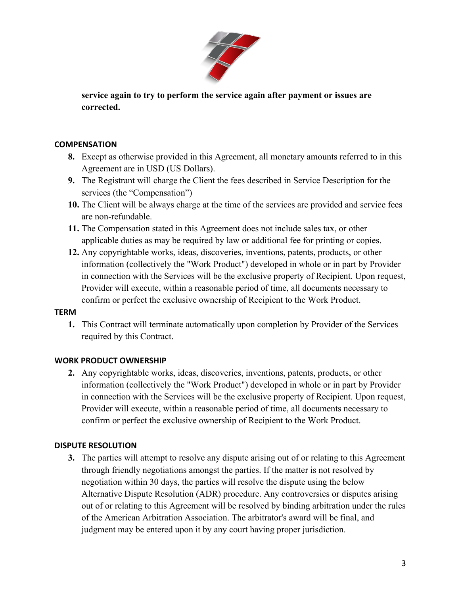

**service again to try to perform the service again after payment or issues are corrected.**

#### **COMPENSATION**

- **8.** Except as otherwise provided in this Agreement, all monetary amounts referred to in this Agreement are in USD (US Dollars).
- **9.** The Registrant will charge the Client the fees described in Service Description for the services (the "Compensation")
- **10.** The Client will be always charge at the time of the services are provided and service fees are non-refundable.
- **11.** The Compensation stated in this Agreement does not include sales tax, or other applicable duties as may be required by law or additional fee for printing or copies.
- **12.** Any copyrightable works, ideas, discoveries, inventions, patents, products, or other information (collectively the "Work Product") developed in whole or in part by Provider in connection with the Services will be the exclusive property of Recipient. Upon request, Provider will execute, within a reasonable period of time, all documents necessary to confirm or perfect the exclusive ownership of Recipient to the Work Product.

#### **TERM**

**1.** This Contract will terminate automatically upon completion by Provider of the Services required by this Contract.

#### **WORK PRODUCT OWNERSHIP**

**2.** Any copyrightable works, ideas, discoveries, inventions, patents, products, or other information (collectively the "Work Product") developed in whole or in part by Provider in connection with the Services will be the exclusive property of Recipient. Upon request, Provider will execute, within a reasonable period of time, all documents necessary to confirm or perfect the exclusive ownership of Recipient to the Work Product.

#### **DISPUTE RESOLUTION**

**3.** The parties will attempt to resolve any dispute arising out of or relating to this Agreement through friendly negotiations amongst the parties. If the matter is not resolved by negotiation within 30 days, the parties will resolve the dispute using the below Alternative Dispute Resolution (ADR) procedure. Any controversies or disputes arising out of or relating to this Agreement will be resolved by binding arbitration under the rules of the American Arbitration Association. The arbitrator's award will be final, and judgment may be entered upon it by any court having proper jurisdiction.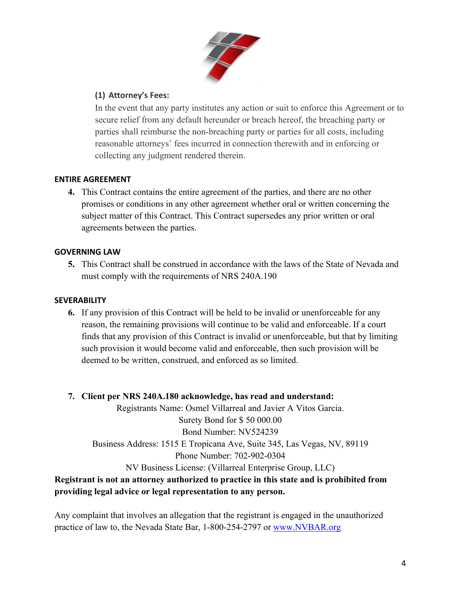

### **(1) Attorney's Fees:**

In the event that any party institutes any action or suit to enforce this Agreement or to secure relief from any default hereunder or breach hereof, the breaching party or parties shall reimburse the non-breaching party or parties for all costs, including reasonable attorneys' fees incurred in connection therewith and in enforcing or collecting any judgment rendered therein.

#### **ENTIRE AGREEMENT**

**4.** This Contract contains the entire agreement of the parties, and there are no other promises or conditions in any other agreement whether oral or written concerning the subject matter of this Contract. This Contract supersedes any prior written or oral agreements between the parties.

### **GOVERNING LAW**

**5.** This Contract shall be construed in accordance with the laws of the State of Nevada and must comply with the requirements of NRS 240A.190

#### **SEVERABILITY**

**6.** If any provision of this Contract will be held to be invalid or unenforceable for any reason, the remaining provisions will continue to be valid and enforceable. If a court finds that any provision of this Contract is invalid or unenforceable, but that by limiting such provision it would become valid and enforceable, then such provision will be deemed to be written, construed, and enforced as so limited.

## **7. Client per NRS 240A.180 acknowledge, has read and understand:**

Registrants Name: Osmel Villarreal and Javier A Vitos Garcia. Surety Bond for \$ 50 000.00 Bond Number: NV524239 Business Address: 1515 E Tropicana Ave, Suite 345, Las Vegas, NV, 89119 Phone Number: 702-902-0304 NV Business License: (Villarreal Enterprise Group, LLC)

# **Registrant is not an attorney authorized to practice in this state and is prohibited from providing legal advice or legal representation to any person.**

Any complaint that involves an allegation that the registrant is engaged in the unauthorized practice of law to, the Nevada State Bar, 1-800-254-2797 or www.NVBAR.org